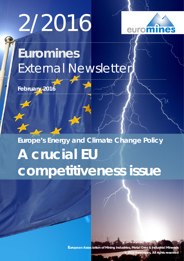# 2/2016



# **Euromines** External Newsletter

**February 2016**

# **Europe's Energy and Climate Change Policy A crucial EU competitiveness issue**

**European Association of Mining Industries, Metal Ores & Industrial Minerals © 2016 Euromines, All rights reserved**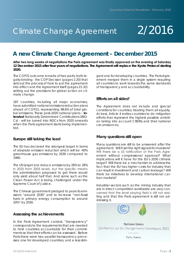# Climate Change Agreement

# 2/2016

#### **After two long weeks of negotiations the Paris agreement was finally approved on the evening of Saturday 12 December 2015 after four years of negotiations. The Agreement will replace the Kyoto Protocol starting 2020.**

The COP21 outcome is made of two parts, both legally-binding: the COP Decision (pages 1-20) that sets out the process of how to put the agreement into effect and the Agreement itself (pages 21-32) setting out the provisions for global action on climate change.

187 countries, including all major economies, have submitted national emissions reduction plans ahead of COP21, representing 98.6% of total global emissions. These post-2020 national plans – **Intended** Nationally Determined Contributions (IND-Cs) - will be turned into NDCs from 2020 onwards when the Paris agreement starts being implemented.

### **Europe still taking the lead**

The EU has declared the strongest target in terms of absolute emission reduction which will be -40% greenhouse gas emissions by 2030 compared to 1990.

The US target is to reduce emissions by 26% to 28% in 2025 from 2005 levels, but the specific means the administration proposed to get there would only yield about half that. And some such as the Clean Power Act is being challenged under the Supreme Court of Justice.

The Chinese government pledged to peak its emissions "around 2030" and to increase "non-fossil fuels in primary energy consumption to around 20%" by 2030.

### **Assessing the achievements**

In the Paris Agreement context, "transparency" corresponds to the requirements that are needed to hold countries accountable for their commitments so that their efforts can be assessed. Before Paris there were two parallel transparency processes: one for developed countries, and a less stringent one for developing countries. The Paris Agreement merged them in a single system requiring all countries to work towards the same standards of transparency and accountability.

# **Efforts on all sides?**

The Agreement does not include and special conditions for countries, treating them all equally. At best, Article 4 invites countries to do mitigation efforts that represent the highest possible ambition taking into account CBDRs and their national circumstances.

# **Many questions still open**

Many questions are still to be answered after the agreement: Will it set the right signals for investors? Will there be a US ratification of the Paris Agreement without congressional approval? What implications will it have for the EU's 2030 climate target? Will there be a mechanism to address the fact that the EU has higher costs for industry that can result in investment and carbon leakage? Will there be initiatives to develop international carbon markets?

Industrial sectors such as the mining industry that are in direct competition worldwide are very concerned that the level playing field is still not existing and that the Paris agreement is still not addressing it.

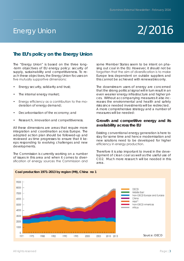# Energy Union

# 2/2016

# **The EU's policy on the Energy Union**

The "Energy Union" is based on the three long- -term objectives of EU energy policy: security of supply, sustainability and competitiveness. To reach these objectives, the Energy Union focuses on five mutually supportive dimensions:

- Energy security, solidarity and trust;
- The internal energy market;
- Energy efficiency as a contribution to the moderation of energy demand;
- Decarbonisation of the economy; and
- Research, innovation and competitiveness.

All these dimensions are areas that require more integration and coordination across Europe. The adopted action plan should be followed-up and reviewed as time progresses to ensure that it keeps responding to evolving challenges and new developments.

The Commission is currently working on a number of issues in this area and when it comes to diversification of energy sources the Commission and

some Member States seem to be intent on phasing out coal in the EU. However, it should not be forgotten that the aim of diversification is to make Europe less dependent on outside suppliers and this cannot be achieved with renewables only.

The downstream users of energy are concerned that the strong political signal will in turn result in an even weaker energy infrastructure and higher prices. Without accompanying measures it also increases the environmental and health and safety risks since needed investments will be redirected. A more comprehensive strategy and a number of measures will be needed:

### **Growth and competitive energy and its availability across the EU**

Existing conventional energy generation is here to stay for some time and hence modernisation and new solutions need to be developed for higher efficiency in energy production.

Therefore it is also important to invest in the development of clean coal as well as the useful use of CO2. Much more research will be needed in this area.

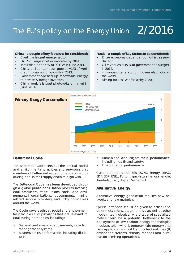# The EU's policy on the Energy Union  $\,$   $\,2/2016$

### **China - a couple of key factors to be considered:**

- Coal: the largest energy sector,
- Oil: 2nd, largest net oil importer by 2014
- Total wind capacity of 98 GW in June 2014,
- China's oil consumption growth  $= 1/3$  of world's oil consumption growth in 2013,
- Government opened up renewable energy to private & foreign investors,
- China world's largest photovoltaic market in  $\ln$ ne 2014

#### **Russia - a couple of key factors to be considered:**

- Entire economy dependent on oil & gas production,
- Oil revenues = 45 % of government's budget in 2014,
- 4th-largest generator of nuclear electricity in the world,
- aiming for 1.5GW of solar by 2020.



### **Bettercoal Code**

The Bettercoal Code sets out the ethical, social and environmental principles and provisions that members of Bettercoal expect organizations producing coal in their supply chain to align with.

The Bettercoal Code has been developed through a global public consultation process involving coal producers, trade unions, social and environmental organisations, governments, mining related service providers, and utility companies around the world.

The Code covers ethical, social and environmental principles and provisions that are relevant to coal mining companies, including:

- General performance requirements, including management systems;
- Business ethics performance, including disclosure;
- Human and labour rights, social performance, including health and safety;
- Environmental performance.

Current members are: ESB, DONG Energy, DRAX, EDF, EDP, ENEL, Fortum, gasNatural fenosa, engie, Iberdrola, RWE, Uniper, Vattenfall.

### **Alternative Energy**

Alternative energy generation requires new networks and raw materials.

Special attention should be given to critical and other metals for strategic energy as well as other modern technologies. A shortage of specialised metals could be a potential bottleneck to the deployment of low-carbon energy technologies (nuclear, solar, wind, bioenergy, tide energy) and new applications in XXI Century technologies (IT, embedded systems, sensors, robotics and automation in mining operations).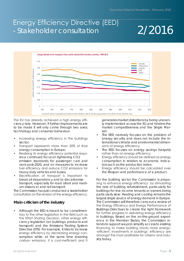# Energy Efficiency Directive (EED) - Stakeholder consultation

# 2/2016



The EU has already achieved a high energy efficiency rate. However, if further improvements are to be made it will only come through two axes; technology and consumer behaviour.

- Increasing energy efficiency in the buildings sector;
- Transport represents more than 30% of final energy consumption in Europe;
- Realising its energy efficiency potential requires a continued focus on tightening CO2 emission standards for passenger cars and vans post-2020, and on measures to increase fuel efficiency and reduce CO2 emissions for heavy duty vehicles and buses;
- Electrification of transport is important to break oil dependency and to decarbonise transport, especially for road (short and medium distance) and rail transport.

The Commission has just conducted a stakeholder consultation on the revision of the energy efficiency.

# **Main criticism of the industry**

• Although the EED is meant to be complimentary to the other legislation in the field such as the Effort Sharing Decision, other energy efficiency legislation (on buildings, products and transport) and the Emissions Trading System Directive (ETS). For example, it tries to increase energy efficiency by decreasing energy consumption while, at the same time lowering carbon emissions, it is cost-inefficient and it

generates market distortions by being unevenly implemented across the EU and hinders the market competitiveness and the Single Market.

- The EED narrowly focuses on the problem of energy security and does not include the international climate and environmental dimensions of energy efficiency.
- The EED focuses on energy savings (targets) rather than on energy efficiency.
- Energy efficiency should be defined as energy consumption in relation to economic indicators such as the production index.
- Energy efficiency should be calculated over the lifespan and performance of a product.

For the building sector the Commission is proposing to enhance energy efficiency by stimulating the rate of building refurbishment, particularly for buildings for low income tenants or owners being particularly slow. Heating and cooling remains the largest single source of energy demand in Europe. The Commission will therefore carry out a review of the Energy Efficiency and Energy Performance of Buildings Directives to create the right framework for further progress in delivering energy efficiency in buildings. Based on the on-the-ground experience in the Member States, the Commission intends to support ways to simplify access to existing financing to make building stocks more energy- -efficient. Investments in buildings' efficiency are amongst the most profitable for citizens and industry today.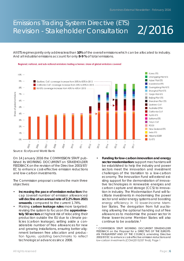# 2/2016 Emissions Trading System Directive (ETS) Revision - Stakeholder Consultation

All ETS regimes jointly only address less than **10%** of the overall emissions which can be allocated to industry. And all industrial emissions account for only **8-9 %** of total emissions.





*Source: Ecofys and World Bank*

On 14 January 2016 the COMMISSION STAFF published its WORKING DOCUMENT on STAKEHOLDER FEEDBACK on the revision of the Directive 2003/87/ EC to enhance cost-effective emission reductions and low-carbon investments.

The Commission proposal contains the main three objectives:

- **• Increasing the pace of emission reduction:** the cap (overall number of emission allowances) **will decline at an annual rate of 2.2% from 2021 onwards**, compared to the current 1.74%.
- Making **carbon leakage rules** more targeted: revising the system to focus on the **approximately 50 sectors** at highest risk of relocating their production outside the EU due to climate policies (carbon leakage), setting aside a considerable number of free allowances for new and growing installations, ensuring better alignment between free allocation and production figures, updating benchmarks to reflect technological advances since 2008.
- **• Funding for low-carbon innovation and energy**  sector modernisation: support mechanisms will be established to help the industry and power sectors meet the innovation and investment challenges of the transition to a low-carbon economy. The Innovation Fund will extend existing support for the demonstration of innovative technologies in renewable energies and carbon capture and storage (CCS) to innovation in industry. The Modernisation Fund will facilitate investments in modernising the power sector and wider energy systems and boosting energy efficiency in 10 lower-income Member States. The derogation from full auctioning allowing the optional handing out of free allowances to modernise the power sector in these lower-income Member States will also continue to be available.<sup>1</sup>

<sup>•</sup> 1 COMMISSION STAFF WORKING DOCUMENT STAKEHOLDER FEEDBACK on the Proposal for a DIRECTIVE OF THE EUROPE-AN PARLIAMENT AND OF THE COUNCIL amending Directive 2003/87/EC to enhance cost-effective emission reductions and low-carbon investments {COM(2015)337 final}, Page 1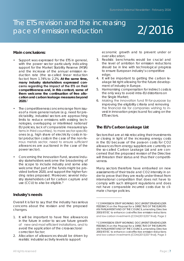# The ETS revision and the increasing pace of emission reduction

# 2/2016

### **Main conclusions:**

- Support was expressed for the ETS in general, with the power sector particularly indicating support for the Market Stability Reserve (MSR) and the increase of the annual emission reduction rate (the so-called linear reduction factor) from 1.74% to 2.2%. **At the same time, many industry stakeholders expressed concerns regarding the impact of the ETS on their competitiveness and, in this context, some of them welcome the continuation of free allocation and carbon leakage measures beyond 2020.**<sup>2</sup>
- The competitiveness concerns range from issues of a more general nature (e.g. need for predictability, industrial sectors are approaching limits to reduce emissions with existing technologies, overlapping or interlinked national/ EU policies, lack of comparable measures/systems in third countries), to more sector-specific ones (e.g. high share of electricity costs in total production costs in the case of the non-ferrous metals sector, need to ensure sufficient allowances are auctioned in the case of the power sector).
- Concerning the Innovation Fund, several industry stakeholders welcome the broadening of the scope to include industry and some also welcome that part of the funds might be provided before 2020, and support the higher funding rates proposed. Moreover, several industry stakeholders call for carbon capture and use (CCU) to also be eligible.<sup>3</sup>

### **Industry's needs**

Overall it is fair to say that the industry has serious concerns about the revision and the proposed changes.

- 1. It will be important to have free allowances in the future in order to secure future growth of new and most efficient installations, and to avoid the application of the cross-sectoral correction factor;
- 2. Allocation of allowances should be driven by realistic industrial activity levels to support

economic growth and to prevent under or over allocation;

- 3. Realistic benchmarks would be crucial and the level of ambition for emission reductions should be in line with technological progress to ensure European industry's competitive edge;
- 4. It will be important to getting the carbon leakage list right allowing for the future development of industry in Europe.
- 5. Harmonising compensation for indirect costs is the only way to avoid intra-EU distortions on the Single Market;
- 6. Making the innovation fund fit-for-purpose by improving the eligibility criteria and removing the financial risk for companies wishing to invest in innovation projects and focusing on the ETS sectors.

# **The EU's Carbon Leakage List**

Sectors that are at risk relocating their investments or closing in light of the increasing energy costs in the EU because of the pass-on costs for CO2 allowances from energy suppliers are currently on the so-called Carbon Leakage List and are concerned that the proposed revision of the Directive will threaten their status and thus their competitiveness.

Many sectors therefore have embarked on new assessments of their trade and CO2 intensity in order to prove that they are really under threat from international competition that does not have to comply with such stringent regulations and does not have comparable incurred costs due to climate change policies.

2 COMMISSION STAFF WORKING DOCUMENT STAKEHOLDER FEEDBACK on the Proposal for a DIRECTIVE OF THE EUROPE-AN PARLIAMENT AND OF THE COUNCIL amending Directive

-------------------------------

2003/87/EC to enhance cost-effective emission reductions and low-carbon investments {COM(2015)337 final}, Page 2

3 COMMISSION STAFF WORKING DOCUMENT STAKEHOLDER FEEDBACK on the Proposal for a DIRECTIVE OF THE EUROPE-AN PARLIAMENT AND OF THE COUNCIL amending Directive 2003/87/EC to enhance cost-effective emission reductions and low-carbon investments {COM(2015)337 final}, Page 3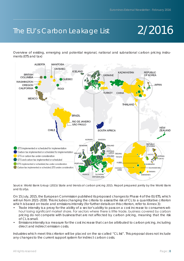# The EU's Carbon Leakage List

# 2/2016

Overview of existing, emerging and potential regional, national and subnational carbon pricing instruments (ETS and tax)



*Source: World Bank Group (2015) State and trends of carbon pricing 2015. Report prepared jointly by the World Bank and Ecofys.*

On 15 July, 2015, the European Commission published its proposed changes to Phase 4 of the EU ETS, which will run from 2021–2030. This includes changing the criteria to assess the risk of CL to a quantitative criterion which is based on trade and emissions intensity (for further details on this criterion, refer to Annex 3):

- Trade intensity is a proxy for the ability of a sector's ability to pass on a cost increase to consumers without losing significant market share. For sectors where there is little trade, business covered by carbon pricing do not compete with business that are not affected by carbon pricing, meaning that the risk of CL is small.
- Emissions intensity is a measure for the cost increase that can be attributed to carbon pricing, including direct and indirect emission costs.

Industries which meet this criterion will be placed on the so-called "CL list". This proposal does not include any changes to the current support system for indirect carbon costs.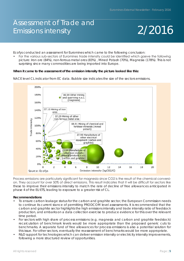# Assessment of Trade and Emissions intensity

# 2/2016

Ecofys conducted an assessment for Euromines which came to the following conclusion:

• For the various sub-sectors of Euromines trade intensity could be identified which gaeve the following picture: Iron ore (84%), non-ferrous metal ores (83%) , Mined Potash (70%), Magnesia (178%). This is not surprising since many commodities are being imported into Europe.

### **When it came to the assessment of the emission intensity the picture looked like this:**

NACE level CL indicator from EC data. Bubble size indicates the size of the sectors emissions.



Process emissions are particularly significant for magnesia since CO2 is the result of the chemical conversion. They account for over 50% of direct emissions. This result indicates that it will be difficult for sectors like these to improve their emissions intensity to match the rate of decline of free allowances anticipated in phase 4 of the EU ETS, leading to exposure to a greater risk of CL.

### **Recommendations**

- To ensure carbon leakage status for the carbon and graphite sector, the European Commission needs to continue its current stance of permitting PRODCOM level assessments. It is recommended that the carbon and graphite sector highlights the high emissions intensity and trade intensity ratio of feedstock production, and embarks on a data collection exercise to produce evidence for this over the relevant time period.
- For sectors with high share of process emissions (e.g. magnesia and carbon and graphite feedstock) recalculation of benchmark levels would be more appropriate than the proposed generic cuts to benchmarks. A separate fund of free allowances for process emissions is also a potential solution for this issue. For other sectors, eventually the reassessment of benchmarks would be more appropriate.
- R&D support for technologies which can deliver emission intensity or electricity intensity improvements, following a more structured review of opportunities.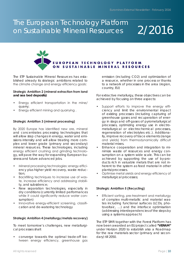# The European Technology Platform on Sustainable Mineral Resources

# 2/2016



The ETP Sustainable Mineral Resources has established already its strategic ambitions related to the climate change and energy efficiency goals:

### **Strategic Ambition 2 (mineral extraction from land and sea bed deposits)**

- Energy efficient transportation in the mine/ quarry;
- Energy efficient mining and quarrying .

### **Strategic Ambition 3 (mineral processing)**

By 2020 Europe has identified new ore, mineral and concentrates processing technologies that will allow step changes in energy, water and emissions intensity and will allow treating more complex and lower grade (primary and secondary) mineral resources. These technologies, including energy efficient crushing and grinding technology, will pave the way for expanding European business and future advanced jobs.

- Mineral processing technologies: energy efficiency plus higher yield recovery, waste reduction;
- Backfilling techniques to increase use of waste, increase efficiency and addressing stability, and subsidence;
- New separation technologies, especially in dry conditions (currently limited performances while it could significantly reduce water consumption)
- Innovative energy-efficient screening, classification and de-watering technology

#### **Strategic Ambition 4 (metallurgy/metals recovery)**

To meet tomorrow's challenges, new metallurgical processes shall:

• converge towards the optimal trade-off between energy efficiency, greenhouse gas emission (including CO2) and optimization of a resource, whether in one process or thanks to a network of processes in the area (region, country, EU)

For extractive metallurgy, these objectives can be achieved by focusing on three aspects:

- Support efforts to improve the energy efficiency and limit the environmental impact of existing processes (including capturing of greenhouse gases and recuperation of energy in slags and off-gases of pyrometallurgical processes, optimizing energy use in electrometallurgical or electrochemical processes, regeneration of electrolytes etc.). Additionally, improve recovery of trace elements (range and yields) from thermodynamically difficult material mixes.
- Enhance cooperation and integration to minimize waste of resources and energy consumption on a system wide scale. This can be achieved by supporting the use of by-products rich in valuable metals that are not inherent to the system as feed material in other plants/processes.
- Optimise metal yields and energy efficiency of metallurgical processes;

### **Strategic Ambition 5 (Recycling)**

• Efficient sorting, pre-treatment and metallurgy of complex multi-metallic and material wastes including functional surfaces (LCDs, photovoltaic, …) and the interface optimisation (addressing interdependencies of the steps by using a systems approach)

The ETP SMR together with the Forest Platform has now been awarded an EU project called **"VERAM"** under Horizon 2020 to establish also a Roadmap for the raw materials sector (primary and secondary) till 2050.